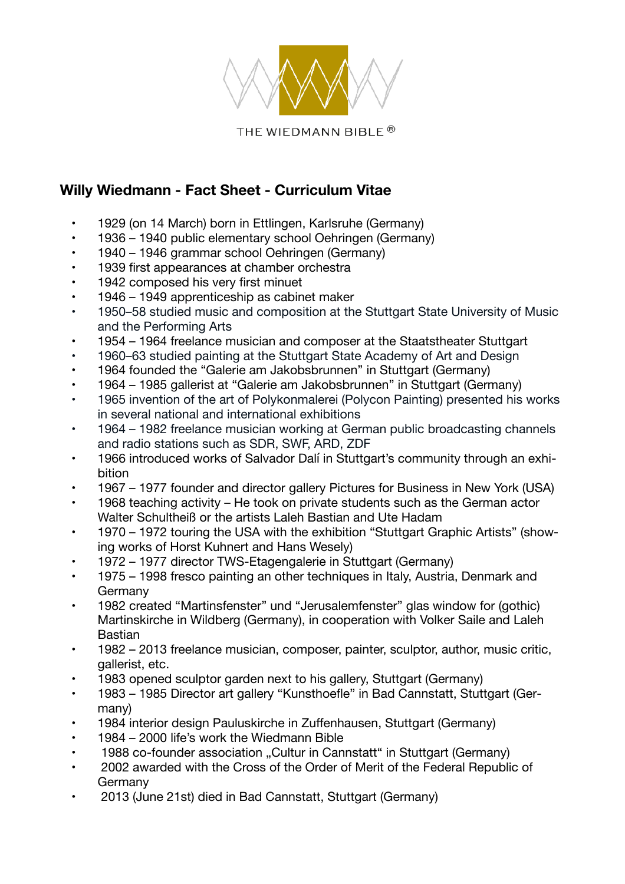

## **Willy Wiedmann - Fact Sheet - Curriculum Vitae**

- • 1929 (on 14 March) born in Ettlingen, Karlsruhe (Germany)
- 1936 1940 public elementary school Oehringen (Germany)
- 1940 1946 grammar school Oehringen (Germany)
- 1939 first appearances at chamber orchestra
- 1942 composed his very first minuet
- 1946 1949 apprenticeship as cabinet maker
- 1950–58 studied music and composition at the Stuttgart State University of Music and the Performing Arts
- 1954 1964 freelance musician and composer at the Staatstheater Stuttgart
- 1960–63 studied painting at the Stuttgart State Academy of Art and Design
- 1964 founded the "Galerie am Jakobsbrunnen" in Stuttgart (Germany)
- 1964 1985 gallerist at "Galerie am Jakobsbrunnen" in Stuttgart (Germany)
- 1965 invention of the art of Polykonmalerei (Polycon Painting) presented his works in several national and international exhibitions
- 1964 1982 freelance musician working at German public broadcasting channels and radio stations such as SDR, SWF, ARD, ZDF
- 1966 introduced works of Salvador Dalí in Stuttgart's community through an exhibition
- 1967 1977 founder and director gallery Pictures for Business in New York (USA)
- 1968 teaching activity He took on private students such as the German actor Walter Schultheiß or the artists Laleh Bastian and Ute Hadam
- 1970 1972 touring the USA with the exhibition "Stuttgart Graphic Artists" (showing works of Horst Kuhnert and Hans Wesely)
- 1972 1977 director TWS-Etagengalerie in Stuttgart (Germany)
- 1975 1998 fresco painting an other techniques in Italy, Austria, Denmark and Germany
- 1982 created "Martinsfenster" und "Jerusalemfenster" glas window for (gothic) Martinskirche in Wildberg (Germany), in cooperation with Volker Saile and Laleh Bastian
- 1982 2013 freelance musician, composer, painter, sculptor, author, music critic, gallerist, etc.
- 1983 opened sculptor garden next to his gallery, Stuttgart (Germany)
- 1983 1985 Director art gallery "Kunsthoefle" in Bad Cannstatt, Stuttgart (Germany)
- 1984 interior design Pauluskirche in Zuffenhausen, Stuttgart (Germany)
- 1984 2000 life's work the Wiedmann Bible
- 1988 co-founder association ..Cultur in Cannstatt" in Stuttgart (Germany)
- 2002 awarded with the Cross of the Order of Merit of the Federal Republic of Germany
- 2013 (June 21st) died in Bad Cannstatt, Stuttgart (Germany)